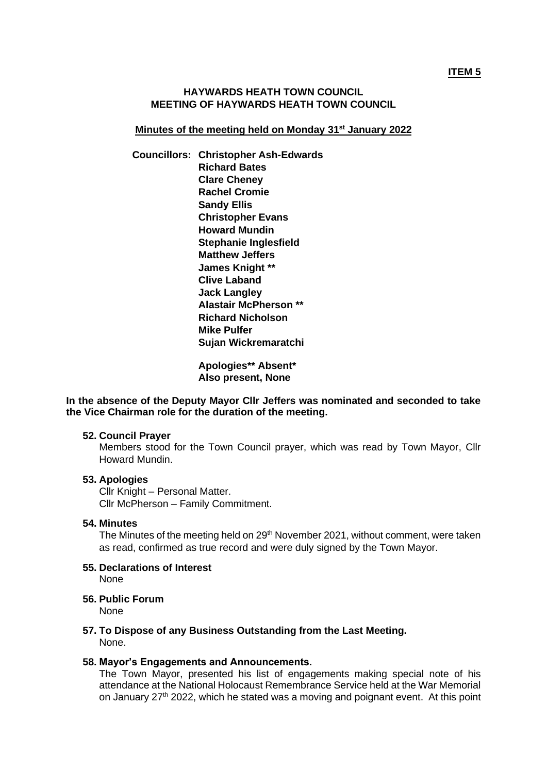## **HAYWARDS HEATH TOWN COUNCIL MEETING OF HAYWARDS HEATH TOWN COUNCIL**

### **Minutes of the meeting held on Monday 31st January 2022**

**Councillors: Christopher Ash-Edwards Richard Bates Clare Cheney Rachel Cromie Sandy Ellis Christopher Evans Howard Mundin Stephanie Inglesfield Matthew Jeffers James Knight \*\* Clive Laband Jack Langley Alastair McPherson \*\* Richard Nicholson Mike Pulfer Sujan Wickremaratchi**

> **Apologies\*\* Absent\* Also present, None**

**In the absence of the Deputy Mayor Cllr Jeffers was nominated and seconded to take the Vice Chairman role for the duration of the meeting.** 

#### **52. Council Prayer**

Members stood for the Town Council prayer, which was read by Town Mayor, Cllr Howard Mundin.

### **53. Apologies**

Cllr Knight – Personal Matter. Cllr McPherson – Family Commitment.

#### **54. Minutes**

The Minutes of the meeting held on 29<sup>th</sup> November 2021, without comment, were taken as read, confirmed as true record and were duly signed by the Town Mayor.

#### **55. Declarations of Interest**  None

**56. Public Forum**

None

**57. To Dispose of any Business Outstanding from the Last Meeting.** None.

#### **58. Mayor's Engagements and Announcements.**

The Town Mayor, presented his list of engagements making special note of his attendance at the National Holocaust Remembrance Service held at the War Memorial on January 27<sup>th</sup> 2022, which he stated was a moving and poignant event. At this point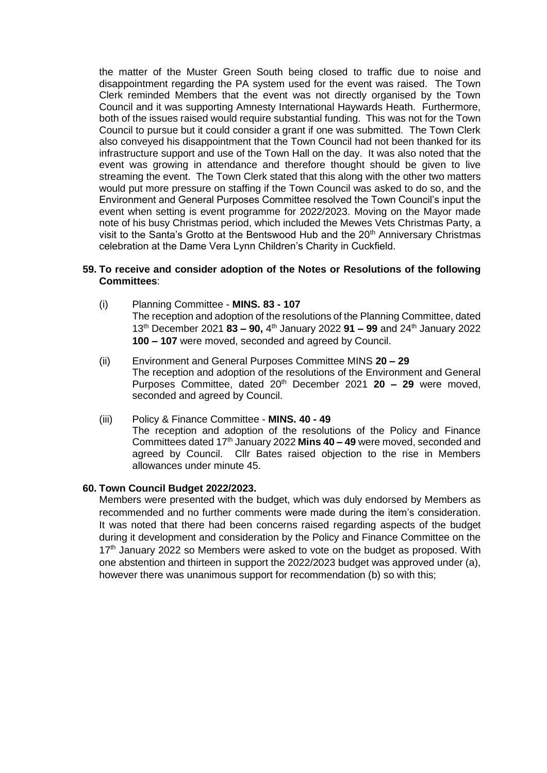the matter of the Muster Green South being closed to traffic due to noise and disappointment regarding the PA system used for the event was raised. The Town Clerk reminded Members that the event was not directly organised by the Town Council and it was supporting Amnesty International Haywards Heath. Furthermore, both of the issues raised would require substantial funding. This was not for the Town Council to pursue but it could consider a grant if one was submitted. The Town Clerk also conveyed his disappointment that the Town Council had not been thanked for its infrastructure support and use of the Town Hall on the day. It was also noted that the event was growing in attendance and therefore thought should be given to live streaming the event. The Town Clerk stated that this along with the other two matters would put more pressure on staffing if the Town Council was asked to do so, and the Environment and General Purposes Committee resolved the Town Council's input the event when setting is event programme for 2022/2023. Moving on the Mayor made note of his busy Christmas period, which included the Mewes Vets Christmas Party, a visit to the Santa's Grotto at the Bentswood Hub and the  $20<sup>th</sup>$  Anniversary Christmas celebration at the Dame Vera Lynn Children's Charity in Cuckfield.

## **59. To receive and consider adoption of the Notes or Resolutions of the following Committees**:

- (i) Planning Committee **MINS. 83 - 107** The reception and adoption of the resolutions of the Planning Committee, dated 13 th December 2021 **83 – 90,** 4 th January 2022 **91 – 99** and 24th January 2022 **100 – 107** were moved, seconded and agreed by Council.
- (ii) Environment and General Purposes Committee MINS **20 – 29** The reception and adoption of the resolutions of the Environment and General Purposes Committee, dated 20 th December 2021 **20 – 29** were moved, seconded and agreed by Council.
- (iii) Policy & Finance Committee **MINS. 40 - 49** The reception and adoption of the resolutions of the Policy and Finance Committees dated 17<sup>th</sup> January 2022 Mins 40 - 49 were moved, seconded and agreed by Council. Cllr Bates raised objection to the rise in Members allowances under minute 45.

#### **60. Town Council Budget 2022/2023.**

Members were presented with the budget, which was duly endorsed by Members as recommended and no further comments were made during the item's consideration. It was noted that there had been concerns raised regarding aspects of the budget during it development and consideration by the Policy and Finance Committee on the  $17<sup>th</sup>$  January 2022 so Members were asked to vote on the budget as proposed. With one abstention and thirteen in support the 2022/2023 budget was approved under (a), however there was unanimous support for recommendation (b) so with this;